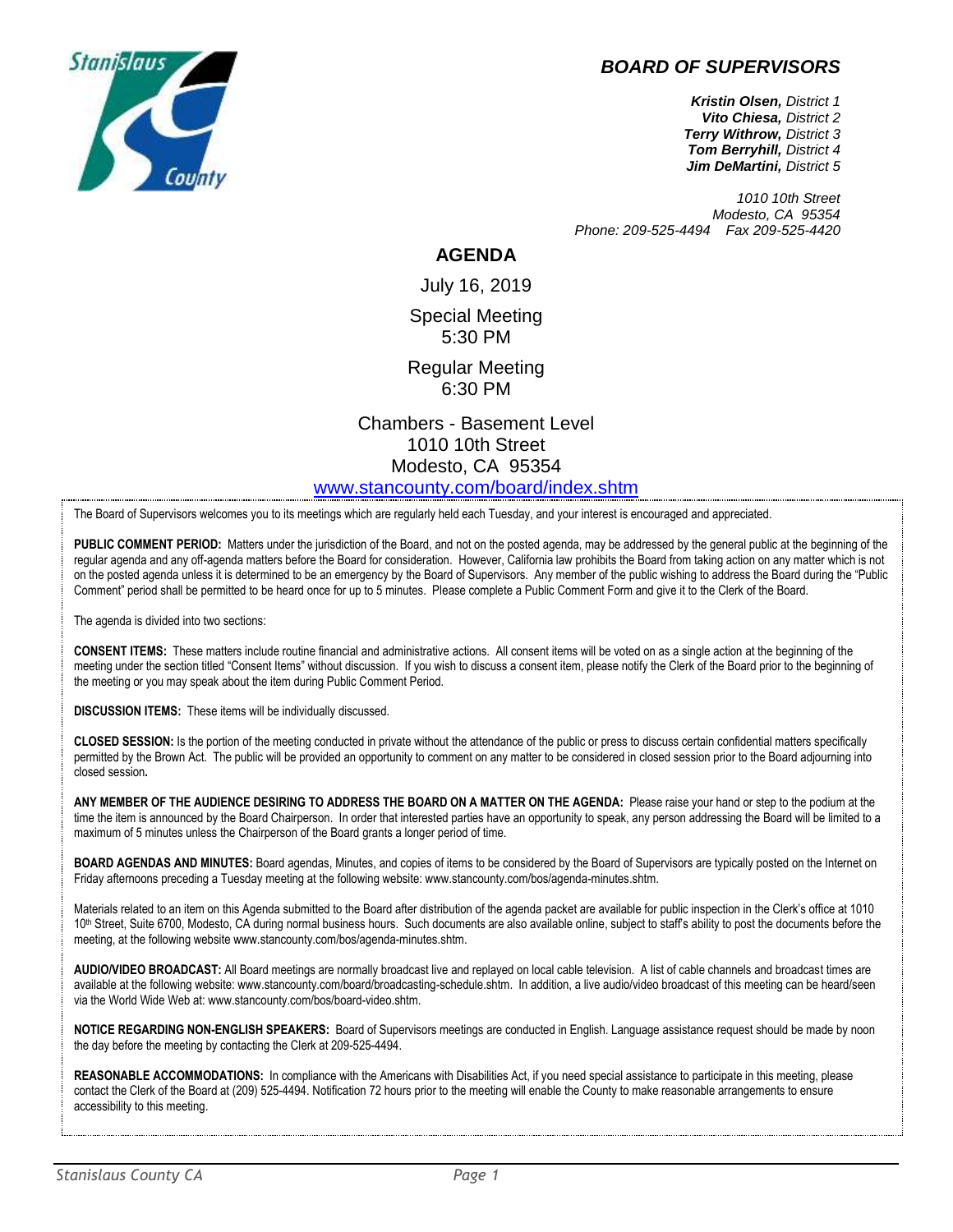

# *BOARD OF SUPERVISORS*

*Kristin Olsen, District 1 Vito Chiesa, District 2 Terry Withrow, District 3 Tom Berryhill, District 4 Jim DeMartini, District 5*

*1010 10th Street Modesto, CA 95354 Phone: 209-525-4494 Fax 209-525-4420*

#### **AGENDA**

July 16, 2019 Special Meeting 5:30 PM

Regular Meeting 6:30 PM

Chambers - Basement Level 1010 10th Street Modesto, CA 95354 [www.stancounty.com/board/index.shtm](http://www.stancounty.com/board/index.shtm)

The Board of Supervisors welcomes you to its meetings which are regularly held each Tuesday, and your interest is encouraged and appreciated.

PUBLIC COMMENT PERIOD: Matters under the jurisdiction of the Board, and not on the posted agenda, may be addressed by the general public at the beginning of the regular agenda and any off-agenda matters before the Board for consideration. However, California law prohibits the Board from taking action on any matter which is not on the posted agenda unless it is determined to be an emergency by the Board of Supervisors. Any member of the public wishing to address the Board during the "Public Comment" period shall be permitted to be heard once for up to 5 minutes. Please complete a Public Comment Form and give it to the Clerk of the Board.

The agenda is divided into two sections:

**CONSENT ITEMS:** These matters include routine financial and administrative actions. All consent items will be voted on as a single action at the beginning of the meeting under the section titled "Consent Items" without discussion. If you wish to discuss a consent item, please notify the Clerk of the Board prior to the beginning of the meeting or you may speak about the item during Public Comment Period.

**DISCUSSION ITEMS:** These items will be individually discussed.

**CLOSED SESSION:** Is the portion of the meeting conducted in private without the attendance of the public or press to discuss certain confidential matters specifically permitted by the Brown Act. The public will be provided an opportunity to comment on any matter to be considered in closed session prior to the Board adjourning into closed session**.**

**ANY MEMBER OF THE AUDIENCE DESIRING TO ADDRESS THE BOARD ON A MATTER ON THE AGENDA:** Please raise your hand or step to the podium at the time the item is announced by the Board Chairperson. In order that interested parties have an opportunity to speak, any person addressing the Board will be limited to a maximum of 5 minutes unless the Chairperson of the Board grants a longer period of time.

**BOARD AGENDAS AND MINUTES:** Board agendas, Minutes, and copies of items to be considered by the Board of Supervisors are typically posted on the Internet on Friday afternoons preceding a Tuesday meeting at the following website: www.stancounty.com/bos/agenda-minutes.shtm.

Materials related to an item on this Agenda submitted to the Board after distribution of the agenda packet are available for public inspection in the Clerk's office at 1010 10<sup>th</sup> Street, Suite 6700, Modesto, CA during normal business hours. Such documents are also available online, subject to staff's ability to post the documents before the meeting, at the following website www.stancounty.com/bos/agenda-minutes.shtm.

**AUDIO/VIDEO BROADCAST:** All Board meetings are normally broadcast live and replayed on local cable television. A list of cable channels and broadcast times are available at the following website: www.stancounty.com/board/broadcasting-schedule.shtm. In addition, a live audio/video broadcast of this meeting can be heard/seen via the World Wide Web at: www.stancounty.com/bos/board-video.shtm.

**NOTICE REGARDING NON-ENGLISH SPEAKERS:** Board of Supervisors meetings are conducted in English. Language assistance request should be made by noon the day before the meeting by contacting the Clerk at 209-525-4494.

**REASONABLE ACCOMMODATIONS:** In compliance with the Americans with Disabilities Act, if you need special assistance to participate in this meeting, please contact the Clerk of the Board at (209) 525-4494. Notification 72 hours prior to the meeting will enable the County to make reasonable arrangements to ensure accessibility to this meeting.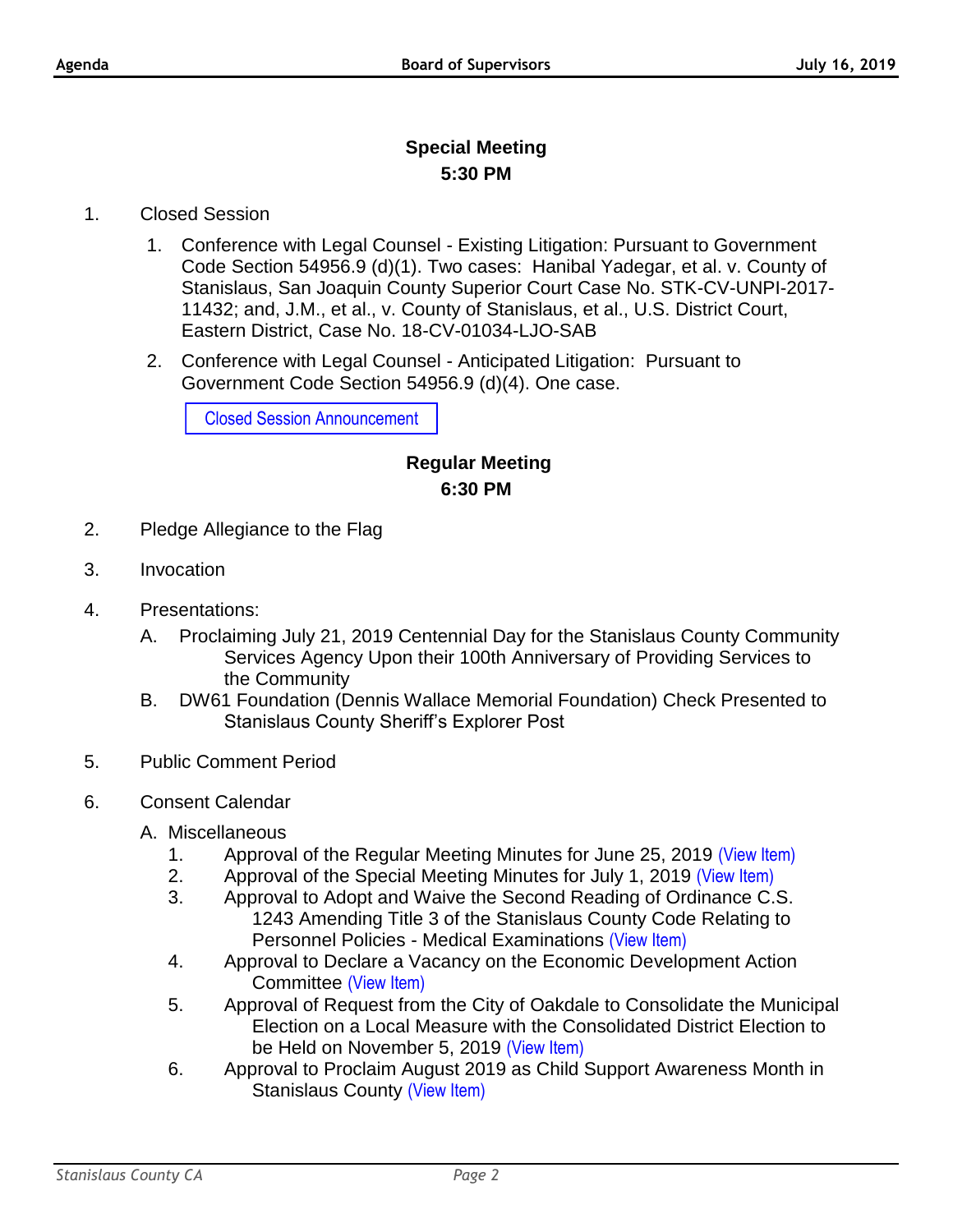# **Special Meeting 5:30 PM**

### 1. Closed Session

- 1. Conference with Legal Counsel Existing Litigation: Pursuant to Government Code Section 54956.9 (d)(1). Two cases: Hanibal Yadegar, et al. v. County of Stanislaus, San Joaquin County Superior Court Case No. STK-CV-UNPI-2017- 11432; and, J.M., et al., v. County of Stanislaus, et al., U.S. District Court, Eastern District, Case No. 18-CV-01034-LJO-SAB
- 2. Conference with Legal Counsel Anticipated Litigation: Pursuant to Government Code Section 54956.9 (d)(4). One case.

Closed Session Announcement

## **Regular Meeting 6:30 PM**

- 2. Pledge Allegiance to the Flag
- 3. Invocation
- 4. Presentations:
	- A. Proclaiming July 21, 2019 Centennial Day for the Stanislaus County Community Services Agency Upon their 100th Anniversary of Providing Services to the Community
	- B. DW61 Foundation (Dennis Wallace Memorial Foundation) Check Presented to Stanislaus County Sheriff's Explorer Post
- 5. Public Comment Period
- 6. Consent Calendar
	- A. Miscellaneous
		- 1. Approval of the Regular Meeting Minutes for June 25, 2019 [\(View Item\)](http://stancounty.com/bos/minutes/2019/min06-25-19.pdf)
		- 2. Approval of the Special Meeting Minutes for July 1, 2019 [\(View Item\)](http://stancounty.com/bos/minutes/2019/min07-01-19.pdf)
		- 3. Approval to Adopt and Waive the Second Reading of Ordinance C.S. 1243 Amending Title 3 of the Stanislaus County Code Relating to Personnel Policies - Medical Examinations [\(View Item\)](http://stancounty.com/bos/agenda/2019/20190716/A03.pdf)
		- 4. Approval to Declare a Vacancy on the Economic Development Action Committee [\(View Item\)](http://stancounty.com/bos/agenda/2019/20190716/A04.pdf)
		- 5. Approval of Request from the City of Oakdale to Consolidate the Municipal Election on a Local Measure with the Consolidated District Election to be Held on November 5, 2019 [\(View Item\)](http://stancounty.com/bos/agenda/2019/20190716/A05.pdf)
		- 6. Approval to Proclaim August 2019 as Child Support Awareness Month in Stanislaus County [\(View Item\)](http://stancounty.com/bos/agenda/2019/20190716/A06.pdf)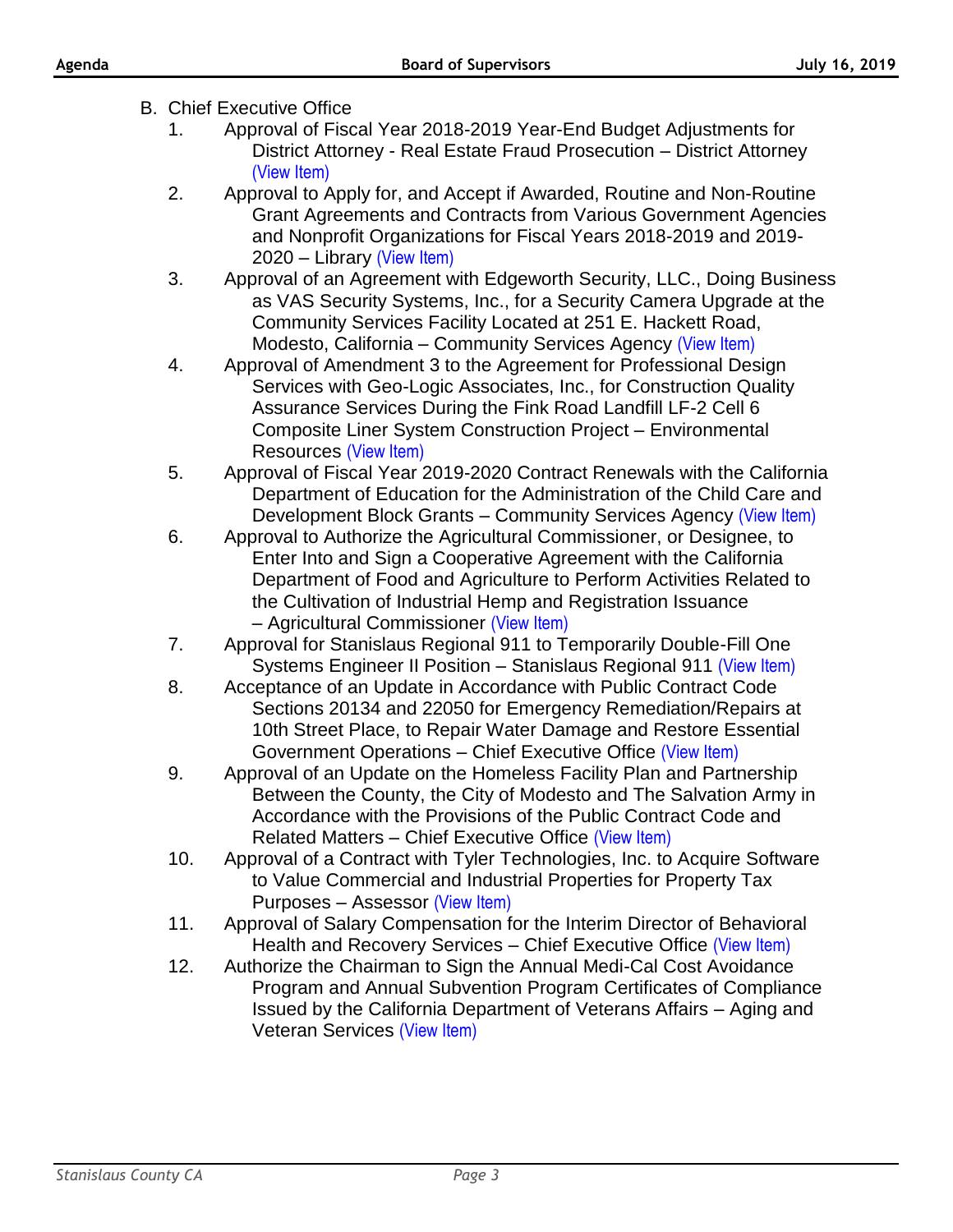- B. Chief Executive Office
	- 1. Approval of Fiscal Year 2018-2019 Year-End Budget Adjustments for District Attorney - Real Estate Fraud Prosecution – District Attorney [\(View Item\)](http://stancounty.com/bos/agenda/2019/20190716/B01.pdf)
	- 2. Approval to Apply for, and Accept if Awarded, Routine and Non-Routine Grant Agreements and Contracts from Various Government Agencies and Nonprofit Organizations for Fiscal Years 2018-2019 and 2019- 2020 – Library [\(View Item\)](http://stancounty.com/bos/agenda/2019/20190716/B02.pdf)
	- 3. Approval of an Agreement with Edgeworth Security, LLC., Doing Business as VAS Security Systems, Inc., for a Security Camera Upgrade at the Community Services Facility Located at 251 E. Hackett Road, Modesto, California – Community Services Agency [\(View Item\)](http://stancounty.com/bos/agenda/2019/20190716/B03.pdf)
	- 4. Approval of Amendment 3 to the Agreement for Professional Design Services with Geo-Logic Associates, Inc., for Construction Quality Assurance Services During the Fink Road Landfill LF-2 Cell 6 Composite Liner System Construction Project – Environmental Resources [\(View Item\)](http://stancounty.com/bos/agenda/2019/20190716/B04.pdf)
	- 5. Approval of Fiscal Year 2019-2020 Contract Renewals with the California Department of Education for the Administration of the Child Care and Development Block Grants – Community Services Agency [\(View Item\)](http://stancounty.com/bos/agenda/2019/20190716/B05.pdf)
	- 6. Approval to Authorize the Agricultural Commissioner, or Designee, to Enter Into and Sign a Cooperative Agreement with the California Department of Food and Agriculture to Perform Activities Related to the Cultivation of Industrial Hemp and Registration Issuance – Agricultural Commissioner [\(View Item\)](http://stancounty.com/bos/agenda/2019/20190716/B06.pdf)
	- 7. Approval for Stanislaus Regional 911 to Temporarily Double-Fill One Systems Engineer II Position - Stanislaus Regional 911 [\(View Item\)](http://stancounty.com/bos/agenda/2019/20190716/B07.pdf)
	- 8. Acceptance of an Update in Accordance with Public Contract Code Sections 20134 and 22050 for Emergency Remediation/Repairs at 10th Street Place, to Repair Water Damage and Restore Essential Government Operations – Chief Executive Office [\(View Item\)](http://stancounty.com/bos/agenda/2019/20190716/B08.pdf)
	- 9. Approval of an Update on the Homeless Facility Plan and Partnership Between the County, the City of Modesto and The Salvation Army in Accordance with the Provisions of the Public Contract Code and Related Matters – Chief Executive Office [\(View Item\)](http://stancounty.com/bos/agenda/2019/20190716/B09.pdf)
	- 10. Approval of a Contract with Tyler Technologies, Inc. to Acquire Software to Value Commercial and Industrial Properties for Property Tax Purposes – Assessor [\(View Item\)](http://stancounty.com/bos/agenda/2019/20190716/B10.pdf)
	- 11. Approval of Salary Compensation for the Interim Director of Behavioral Health and Recovery Services – Chief Executive Office [\(View Item\)](http://stancounty.com/bos/agenda/2019/20190716/B11.pdf)
	- 12. Authorize the Chairman to Sign the Annual Medi-Cal Cost Avoidance Program and Annual Subvention Program Certificates of Compliance Issued by the California Department of Veterans Affairs – Aging and Veteran Services [\(View Item\)](http://stancounty.com/bos/agenda/2019/20190716/B12.pdf)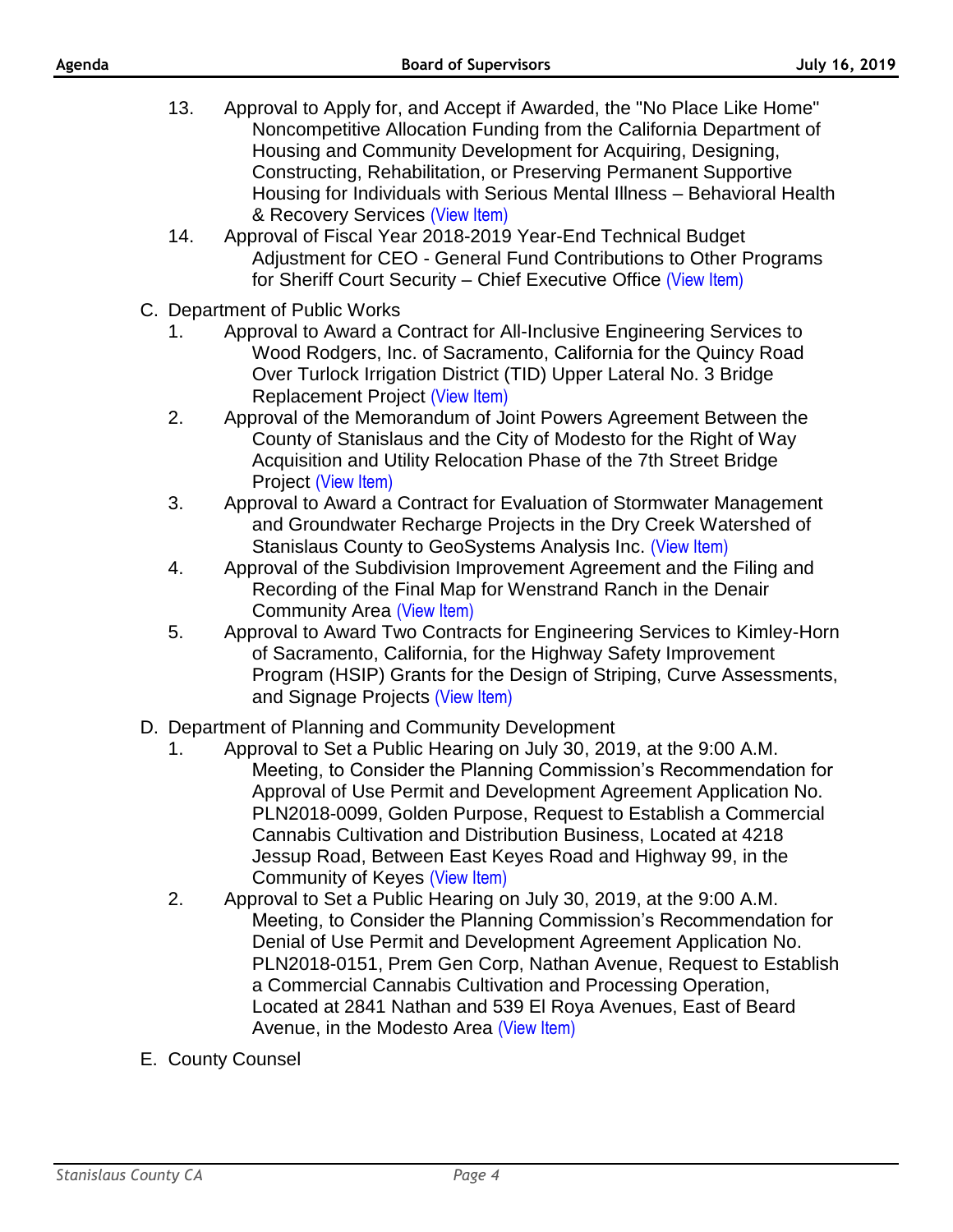- 13. Approval to Apply for, and Accept if Awarded, the "No Place Like Home" Noncompetitive Allocation Funding from the California Department of Housing and Community Development for Acquiring, Designing, Constructing, Rehabilitation, or Preserving Permanent Supportive Housing for Individuals with Serious Mental Illness – Behavioral Health & Recovery Services [\(View Item\)](http://stancounty.com/bos/agenda/2019/20190716/B13.pdf)
- 14. Approval of Fiscal Year 2018-2019 Year-End Technical Budget Adjustment for CEO - General Fund Contributions to Other Programs for Sheriff Court Security – Chief Executive Office [\(View Item\)](http://stancounty.com/bos/agenda/2019/20190716/B14.pdf)
- C. Department of Public Works
	- 1. Approval to Award a Contract for All-Inclusive Engineering Services to Wood Rodgers, Inc. of Sacramento, California for the Quincy Road Over Turlock Irrigation District (TID) Upper Lateral No. 3 Bridge Replacement Project [\(View Item\)](http://stancounty.com/bos/agenda/2019/20190716/C01.pdf)
	- 2. Approval of the Memorandum of Joint Powers Agreement Between the County of Stanislaus and the City of Modesto for the Right of Way Acquisition and Utility Relocation Phase of the 7th Street Bridge Project [\(View Item\)](http://stancounty.com/bos/agenda/2019/20190716/C02.pdf)
	- 3. Approval to Award a Contract for Evaluation of Stormwater Management and Groundwater Recharge Projects in the Dry Creek Watershed of Stanislaus County to GeoSystems Analysis Inc. [\(View Item\)](http://stancounty.com/bos/agenda/2019/20190716/C03.pdf)
	- 4. Approval of the Subdivision Improvement Agreement and the Filing and Recording of the Final Map for Wenstrand Ranch in the Denair Community Area [\(View Item\)](http://stancounty.com/bos/agenda/2019/20190716/C04.pdf)
	- 5. Approval to Award Two Contracts for Engineering Services to Kimley-Horn of Sacramento, California, for the Highway Safety Improvement Program (HSIP) Grants for the Design of Striping, Curve Assessments, and Signage Projects [\(View Item\)](http://stancounty.com/bos/agenda/2019/20190716/C05.pdf)
- D. Department of Planning and Community Development
	- 1. Approval to Set a Public Hearing on July 30, 2019, at the 9:00 A.M. Meeting, to Consider the Planning Commission's Recommendation for Approval of Use Permit and Development Agreement Application No. PLN2018-0099, Golden Purpose, Request to Establish a Commercial Cannabis Cultivation and Distribution Business, Located at 4218 Jessup Road, Between East Keyes Road and Highway 99, in the Community of Keyes [\(View Item\)](http://stancounty.com/bos/agenda/2019/20190716/D01.pdf)
	- 2. Approval to Set a Public Hearing on July 30, 2019, at the 9:00 A.M. Meeting, to Consider the Planning Commission's Recommendation for Denial of Use Permit and Development Agreement Application No. PLN2018-0151, Prem Gen Corp, Nathan Avenue, Request to Establish a Commercial Cannabis Cultivation and Processing Operation, Located at 2841 Nathan and 539 El Roya Avenues, East of Beard Avenue, in the Modesto Area [\(View Item\)](http://stancounty.com/bos/agenda/2019/20190716/D02.pdf)
- E. County Counsel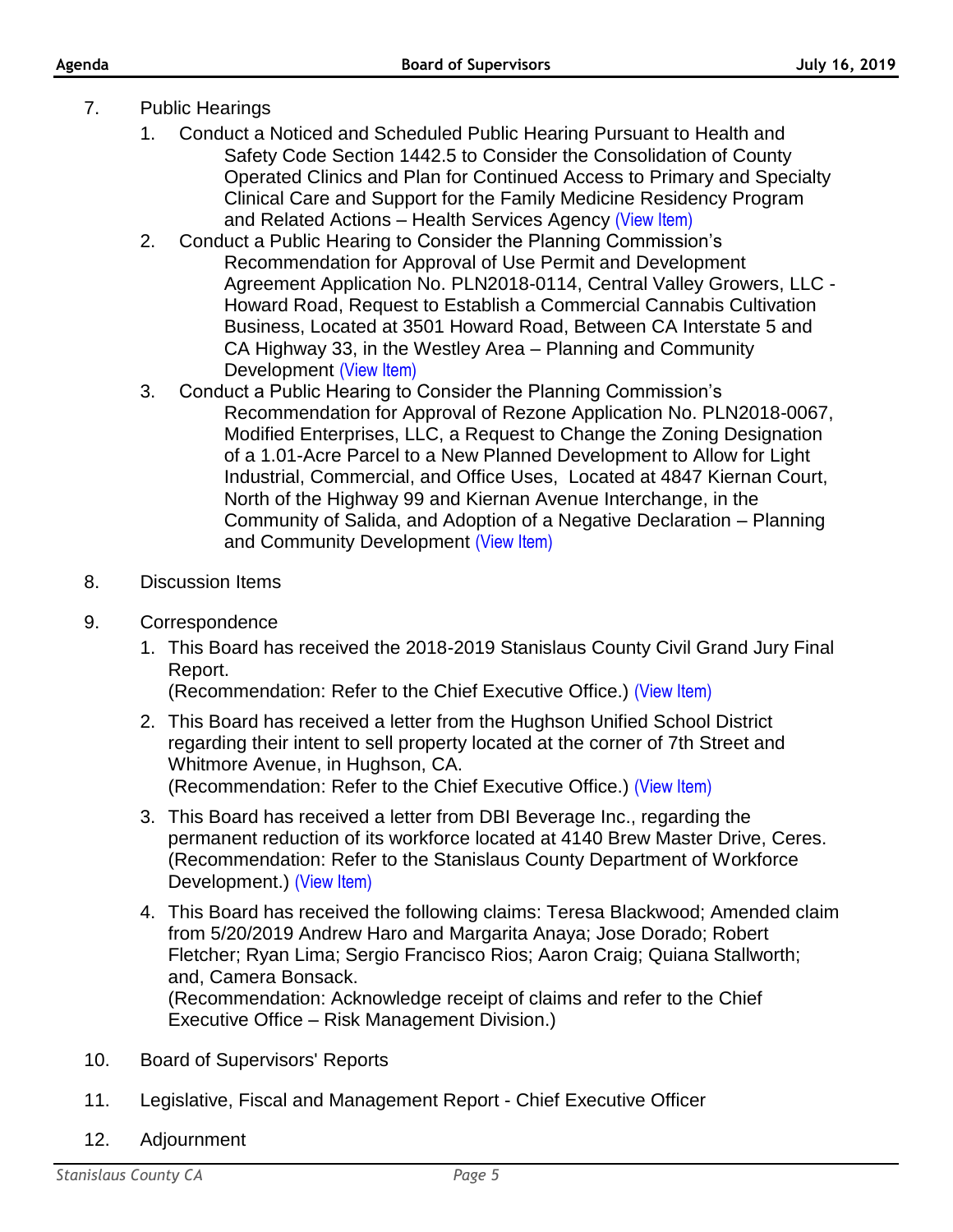- 7. Public Hearings
	- 1. Conduct a Noticed and Scheduled Public Hearing Pursuant to Health and Safety Code Section 1442.5 to Consider the Consolidation of County Operated Clinics and Plan for Continued Access to Primary and Specialty Clinical Care and Support for the Family Medicine Residency Program and Related Actions – Health Services Agency [\(View Item\)](http://stancounty.com/bos/agenda/2019/20190716/PH01.pdf)
	- 2. Conduct a Public Hearing to Consider the Planning Commission's Recommendation for Approval of Use Permit and Development Agreement Application No. PLN2018-0114, Central Valley Growers, LLC - Howard Road, Request to Establish a Commercial Cannabis Cultivation Business, Located at 3501 Howard Road, Between CA Interstate 5 and CA Highway 33, in the Westley Area – Planning and Community Development [\(View Item\)](http://stancounty.com/bos/agenda/2019/20190716/PH02.pdf)
	- 3. Conduct a Public Hearing to Consider the Planning Commission's Recommendation for Approval of Rezone Application No. PLN2018-0067, Modified Enterprises, LLC, a Request to Change the Zoning Designation of a 1.01-Acre Parcel to a New Planned Development to Allow for Light Industrial, Commercial, and Office Uses, Located at 4847 Kiernan Court, North of the Highway 99 and Kiernan Avenue Interchange, in the Community of Salida, and Adoption of a Negative Declaration – Planning and Community Development [\(View Item\)](http://stancounty.com/bos/agenda/2019/20190716/PH03.pdf)
- 8. Discussion Items
- 9. Correspondence
	- 1. This Board has received the 2018-2019 Stanislaus County Civil Grand Jury Final Report.

(Recommendation: Refer to the Chief Executive Office.) [\(View Item\)](http://stancounty.com/bos/agenda/2019/20190716/Corr01.pdf)

- 2. This Board has received a letter from the Hughson Unified School District regarding their intent to sell property located at the corner of 7th Street and Whitmore Avenue, in Hughson, CA. (Recommendation: Refer to the Chief Executive Office.) [\(View Item\)](http://stancounty.com/bos/agenda/2019/20190716/Corr02.pdf)
- 3. This Board has received a letter from DBI Beverage Inc., regarding the permanent reduction of its workforce located at 4140 Brew Master Drive, Ceres. (Recommendation: Refer to the Stanislaus County Department of Workforce Development.) [\(View Item\)](http://stancounty.com/bos/agenda/2019/20190716/Corr03.pdf)
- 4. This Board has received the following claims: Teresa Blackwood; Amended claim from 5/20/2019 Andrew Haro and Margarita Anaya; Jose Dorado; Robert Fletcher; Ryan Lima; Sergio Francisco Rios; Aaron Craig; Quiana Stallworth; and, Camera Bonsack. (Recommendation: Acknowledge receipt of claims and refer to the Chief Executive Office – Risk Management Division.)
- 10. Board of Supervisors' Reports
- 11. Legislative, Fiscal and Management Report Chief Executive Officer
- 12. Adjournment